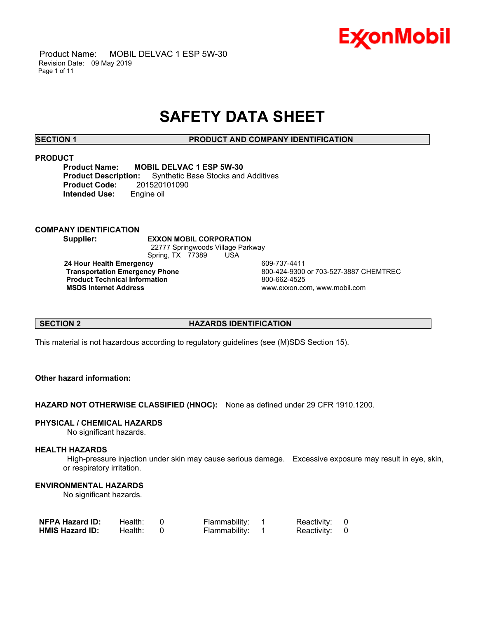

# **SAFETY DATA SHEET**

\_\_\_\_\_\_\_\_\_\_\_\_\_\_\_\_\_\_\_\_\_\_\_\_\_\_\_\_\_\_\_\_\_\_\_\_\_\_\_\_\_\_\_\_\_\_\_\_\_\_\_\_\_\_\_\_\_\_\_\_\_\_\_\_\_\_\_\_\_\_\_\_\_\_\_\_\_\_\_\_\_\_\_\_\_\_\_\_\_\_\_\_\_\_\_\_\_\_\_\_\_\_\_\_\_\_\_\_\_\_\_\_\_\_\_\_\_\_

**SECTION 1 PRODUCT AND COMPANY IDENTIFICATION**

### **PRODUCT**

**Product Name:** MOBIL DELVAC 1 ESP 5W-30<br>**Product Description:** Synthetic Base Stocks and **Product Base Stocks and Additives**<br>201520101090 **Product Code: Intended Use:** Engine oil

# **COMPANY IDENTIFICATION**

**Supplier: EXXON MOBIL CORPORATION** 22777 Springwoods Village Parkway Spring, TX 77389 USA **24 Hour Health Emergency 609-737-4411<br>Transportation Emergency Phone 600-424-9300** 

**Product Technical Information**<br> **MSDS Internet Address**<br> **MSDS Internet Address** 

 **Transportation Emergency Phone** 800-424-9300 or 703-527-3887 CHEMTREC  **MSDS Internet Address** www.exxon.com, www.mobil.com

# **SECTION 2 HAZARDS IDENTIFICATION**

This material is not hazardous according to regulatory guidelines (see (M)SDS Section 15).

# **Other hazard information:**

**HAZARD NOT OTHERWISE CLASSIFIED (HNOC):** None as defined under 29 CFR 1910.1200.

# **PHYSICAL / CHEMICAL HAZARDS**

No significant hazards.

# **HEALTH HAZARDS**

 High-pressure injection under skin may cause serious damage. Excessive exposure may result in eye, skin, or respiratory irritation.

# **ENVIRONMENTAL HAZARDS**

No significant hazards.

| <b>NFPA Hazard ID:</b> | Health: | Flammability: | Reactivity: 0 |  |
|------------------------|---------|---------------|---------------|--|
| <b>HMIS Hazard ID:</b> | Health: | Flammability: | Reactivity: 0 |  |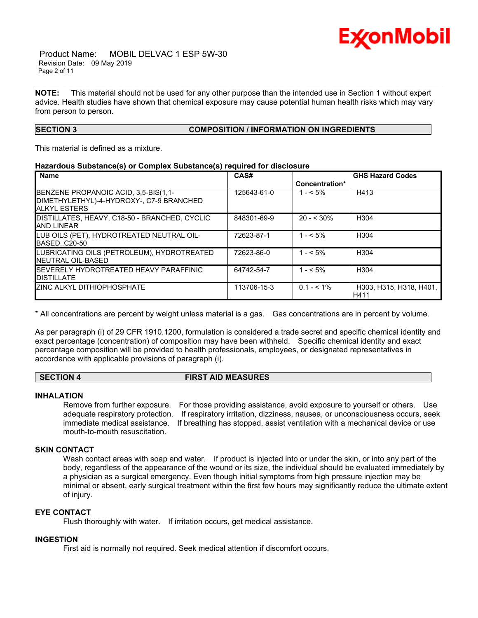

 Product Name: MOBIL DELVAC 1 ESP 5W-30 Revision Date: 09 May 2019 Page 2 of 11

**NOTE:** This material should not be used for any other purpose than the intended use in Section 1 without expert advice. Health studies have shown that chemical exposure may cause potential human health risks which may vary from person to person.

\_\_\_\_\_\_\_\_\_\_\_\_\_\_\_\_\_\_\_\_\_\_\_\_\_\_\_\_\_\_\_\_\_\_\_\_\_\_\_\_\_\_\_\_\_\_\_\_\_\_\_\_\_\_\_\_\_\_\_\_\_\_\_\_\_\_\_\_\_\_\_\_\_\_\_\_\_\_\_\_\_\_\_\_\_\_\_\_\_\_\_\_\_\_\_\_\_\_\_\_\_\_\_\_\_\_\_\_\_\_\_\_\_\_\_\_\_\_

# **SECTION 3 COMPOSITION / INFORMATION ON INGREDIENTS**

This material is defined as a mixture.

### **Hazardous Substance(s) or Complex Substance(s) required for disclosure**

| <b>Name</b>                                                                                              | CAS#        | Concentration* | <b>GHS Hazard Codes</b>         |
|----------------------------------------------------------------------------------------------------------|-------------|----------------|---------------------------------|
| BENZENE PROPANOIC ACID, 3,5-BIS(1,1-<br>DIMETHYLETHYL)-4-HYDROXY-, C7-9 BRANCHED<br><b>JALKYL ESTERS</b> | 125643-61-0 | $1 - 5\%$      | H413                            |
| DISTILLATES, HEAVY, C18-50 - BRANCHED, CYCLIC<br><b>AND LINEAR</b>                                       | 848301-69-9 | $20 - 530\%$   | H <sub>304</sub>                |
| LUB OILS (PET), HYDROTREATED NEUTRAL OIL-<br>BASEDC20-50                                                 | 72623-87-1  | $1 - 5\%$      | H <sub>304</sub>                |
| LUBRICATING OILS (PETROLEUM), HYDROTREATED<br>INEUTRAL OIL-BASED                                         | 72623-86-0  | $1 - 5\%$      | H <sub>304</sub>                |
| <b>ISEVERELY HYDROTREATED HEAVY PARAFFINIC</b><br><b>IDISTILLATE</b>                                     | 64742-54-7  | $1 - 5\%$      | H <sub>304</sub>                |
| <b>IZINC ALKYL DITHIOPHOSPHATE</b>                                                                       | 113706-15-3 | $0.1 - 5.1\%$  | H303, H315, H318, H401,<br>H411 |

\* All concentrations are percent by weight unless material is a gas. Gas concentrations are in percent by volume.

As per paragraph (i) of 29 CFR 1910.1200, formulation is considered a trade secret and specific chemical identity and exact percentage (concentration) of composition may have been withheld. Specific chemical identity and exact percentage composition will be provided to health professionals, employees, or designated representatives in accordance with applicable provisions of paragraph (i).

#### **SECTION 4 FIRST AID MEASURES**

#### **INHALATION**

Remove from further exposure. For those providing assistance, avoid exposure to yourself or others. Use adequate respiratory protection. If respiratory irritation, dizziness, nausea, or unconsciousness occurs, seek immediate medical assistance. If breathing has stopped, assist ventilation with a mechanical device or use mouth-to-mouth resuscitation.

# **SKIN CONTACT**

Wash contact areas with soap and water. If product is injected into or under the skin, or into any part of the body, regardless of the appearance of the wound or its size, the individual should be evaluated immediately by a physician as a surgical emergency. Even though initial symptoms from high pressure injection may be minimal or absent, early surgical treatment within the first few hours may significantly reduce the ultimate extent of injury.

# **EYE CONTACT**

Flush thoroughly with water. If irritation occurs, get medical assistance.

#### **INGESTION**

First aid is normally not required. Seek medical attention if discomfort occurs.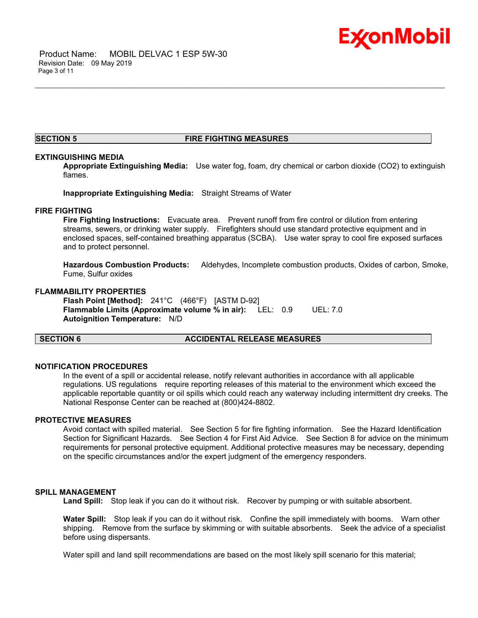

### **SECTION 5 FIRE FIGHTING MEASURES**

\_\_\_\_\_\_\_\_\_\_\_\_\_\_\_\_\_\_\_\_\_\_\_\_\_\_\_\_\_\_\_\_\_\_\_\_\_\_\_\_\_\_\_\_\_\_\_\_\_\_\_\_\_\_\_\_\_\_\_\_\_\_\_\_\_\_\_\_\_\_\_\_\_\_\_\_\_\_\_\_\_\_\_\_\_\_\_\_\_\_\_\_\_\_\_\_\_\_\_\_\_\_\_\_\_\_\_\_\_\_\_\_\_\_\_\_\_\_

### **EXTINGUISHING MEDIA**

**Appropriate Extinguishing Media:** Use water fog, foam, dry chemical or carbon dioxide (CO2) to extinguish flames.

**Inappropriate Extinguishing Media:** Straight Streams of Water

#### **FIRE FIGHTING**

**Fire Fighting Instructions:** Evacuate area. Prevent runoff from fire control or dilution from entering streams, sewers, or drinking water supply. Firefighters should use standard protective equipment and in enclosed spaces, self-contained breathing apparatus (SCBA). Use water spray to cool fire exposed surfaces and to protect personnel.

**Hazardous Combustion Products:** Aldehydes, Incomplete combustion products, Oxides of carbon, Smoke, Fume, Sulfur oxides

# **FLAMMABILITY PROPERTIES**

**Flash Point [Method]:** 241°C (466°F) [ASTM D-92] **Flammable Limits (Approximate volume % in air):** LEL: 0.9 UEL: 7.0 **Autoignition Temperature:** N/D

# **SECTION 6 ACCIDENTAL RELEASE MEASURES**

#### **NOTIFICATION PROCEDURES**

In the event of a spill or accidental release, notify relevant authorities in accordance with all applicable regulations. US regulations require reporting releases of this material to the environment which exceed the applicable reportable quantity or oil spills which could reach any waterway including intermittent dry creeks. The National Response Center can be reached at (800)424-8802.

# **PROTECTIVE MEASURES**

Avoid contact with spilled material. See Section 5 for fire fighting information. See the Hazard Identification Section for Significant Hazards. See Section 4 for First Aid Advice. See Section 8 for advice on the minimum requirements for personal protective equipment. Additional protective measures may be necessary, depending on the specific circumstances and/or the expert judgment of the emergency responders.

#### **SPILL MANAGEMENT**

Land Spill: Stop leak if you can do it without risk. Recover by pumping or with suitable absorbent.

**Water Spill:** Stop leak if you can do it without risk. Confine the spill immediately with booms. Warn other shipping. Remove from the surface by skimming or with suitable absorbents. Seek the advice of a specialist before using dispersants.

Water spill and land spill recommendations are based on the most likely spill scenario for this material;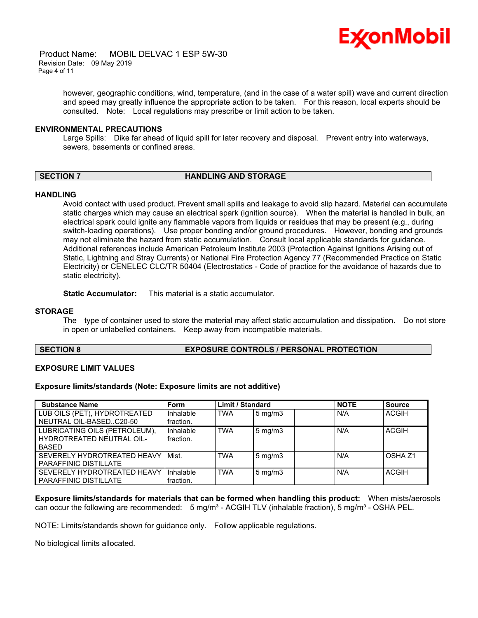

 Product Name: MOBIL DELVAC 1 ESP 5W-30 Revision Date: 09 May 2019 Page 4 of 11

> however, geographic conditions, wind, temperature, (and in the case of a water spill) wave and current direction and speed may greatly influence the appropriate action to be taken. For this reason, local experts should be consulted. Note: Local regulations may prescribe or limit action to be taken.

### **ENVIRONMENTAL PRECAUTIONS**

Large Spills: Dike far ahead of liquid spill for later recovery and disposal. Prevent entry into waterways, sewers, basements or confined areas.

\_\_\_\_\_\_\_\_\_\_\_\_\_\_\_\_\_\_\_\_\_\_\_\_\_\_\_\_\_\_\_\_\_\_\_\_\_\_\_\_\_\_\_\_\_\_\_\_\_\_\_\_\_\_\_\_\_\_\_\_\_\_\_\_\_\_\_\_\_\_\_\_\_\_\_\_\_\_\_\_\_\_\_\_\_\_\_\_\_\_\_\_\_\_\_\_\_\_\_\_\_\_\_\_\_\_\_\_\_\_\_\_\_\_\_\_\_\_

# **SECTION 7 HANDLING AND STORAGE**

#### **HANDLING**

Avoid contact with used product. Prevent small spills and leakage to avoid slip hazard. Material can accumulate static charges which may cause an electrical spark (ignition source). When the material is handled in bulk, an electrical spark could ignite any flammable vapors from liquids or residues that may be present (e.g., during switch-loading operations). Use proper bonding and/or ground procedures. However, bonding and grounds may not eliminate the hazard from static accumulation. Consult local applicable standards for guidance. Additional references include American Petroleum Institute 2003 (Protection Against Ignitions Arising out of Static, Lightning and Stray Currents) or National Fire Protection Agency 77 (Recommended Practice on Static Electricity) or CENELEC CLC/TR 50404 (Electrostatics - Code of practice for the avoidance of hazards due to static electricity).

**Static Accumulator:** This material is a static accumulator.

#### **STORAGE**

The type of container used to store the material may affect static accumulation and dissipation. Do not store in open or unlabelled containers. Keep away from incompatible materials.

# **SECTION 8 EXPOSURE CONTROLS / PERSONAL PROTECTION**

#### **EXPOSURE LIMIT VALUES**

**Exposure limits/standards (Note: Exposure limits are not additive)**

| <b>Substance Name</b>                                                      | Form                   | <b>Limit / Standard</b> |                    | <b>NOTE</b> | <b>Source</b> |
|----------------------------------------------------------------------------|------------------------|-------------------------|--------------------|-------------|---------------|
| LUB OILS (PET), HYDROTREATED<br>NEUTRAL OIL-BASEDC20-50                    | Inhalable<br>fraction. | <b>TWA</b>              | $5 \text{ mg/m}$   | N/A         | <b>ACGIH</b>  |
| LUBRICATING OILS (PETROLEUM),<br>HYDROTREATED NEUTRAL OIL-<br><b>BASED</b> | Inhalable<br>fraction. | <b>TWA</b>              | $5 \text{ mg/m}$ 3 | N/A         | <b>ACGIH</b>  |
| SEVERELY HYDROTREATED HEAVY<br>PARAFFINIC DISTILLATE                       | Mist.                  | <b>TWA</b>              | $5 \text{ mg/m}$   | N/A         | OSHA 71       |
| SEVERELY HYDROTREATED HEAVY<br><b>PARAFFINIC DISTILLATE</b>                | Inhalable<br>fraction. | <b>TWA</b>              | $5 \text{ mg/m}$   | N/A         | <b>ACGIH</b>  |

**Exposure limits/standards for materials that can be formed when handling this product:** When mists/aerosols can occur the following are recommended:  $5 \text{ mg/m}^3$  - ACGIH TLV (inhalable fraction),  $5 \text{ mg/m}^3$  - OSHA PEL.

NOTE: Limits/standards shown for guidance only. Follow applicable regulations.

No biological limits allocated.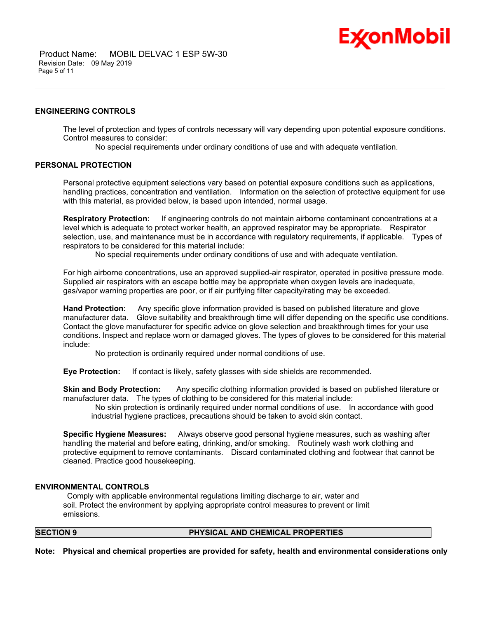

 Product Name: MOBIL DELVAC 1 ESP 5W-30 Revision Date: 09 May 2019 Page 5 of 11

# **ENGINEERING CONTROLS**

The level of protection and types of controls necessary will vary depending upon potential exposure conditions. Control measures to consider:

No special requirements under ordinary conditions of use and with adequate ventilation.

\_\_\_\_\_\_\_\_\_\_\_\_\_\_\_\_\_\_\_\_\_\_\_\_\_\_\_\_\_\_\_\_\_\_\_\_\_\_\_\_\_\_\_\_\_\_\_\_\_\_\_\_\_\_\_\_\_\_\_\_\_\_\_\_\_\_\_\_\_\_\_\_\_\_\_\_\_\_\_\_\_\_\_\_\_\_\_\_\_\_\_\_\_\_\_\_\_\_\_\_\_\_\_\_\_\_\_\_\_\_\_\_\_\_\_\_\_\_

### **PERSONAL PROTECTION**

Personal protective equipment selections vary based on potential exposure conditions such as applications, handling practices, concentration and ventilation. Information on the selection of protective equipment for use with this material, as provided below, is based upon intended, normal usage.

**Respiratory Protection:** If engineering controls do not maintain airborne contaminant concentrations at a level which is adequate to protect worker health, an approved respirator may be appropriate. Respirator selection, use, and maintenance must be in accordance with regulatory requirements, if applicable. Types of respirators to be considered for this material include:

No special requirements under ordinary conditions of use and with adequate ventilation.

For high airborne concentrations, use an approved supplied-air respirator, operated in positive pressure mode. Supplied air respirators with an escape bottle may be appropriate when oxygen levels are inadequate, gas/vapor warning properties are poor, or if air purifying filter capacity/rating may be exceeded.

**Hand Protection:** Any specific glove information provided is based on published literature and glove manufacturer data. Glove suitability and breakthrough time will differ depending on the specific use conditions. Contact the glove manufacturer for specific advice on glove selection and breakthrough times for your use conditions. Inspect and replace worn or damaged gloves. The types of gloves to be considered for this material include:

No protection is ordinarily required under normal conditions of use.

**Eye Protection:** If contact is likely, safety glasses with side shields are recommended.

**Skin and Body Protection:** Any specific clothing information provided is based on published literature or manufacturer data. The types of clothing to be considered for this material include:

 No skin protection is ordinarily required under normal conditions of use. In accordance with good industrial hygiene practices, precautions should be taken to avoid skin contact.

**Specific Hygiene Measures:** Always observe good personal hygiene measures, such as washing after handling the material and before eating, drinking, and/or smoking. Routinely wash work clothing and protective equipment to remove contaminants. Discard contaminated clothing and footwear that cannot be cleaned. Practice good housekeeping.

#### **ENVIRONMENTAL CONTROLS**

 Comply with applicable environmental regulations limiting discharge to air, water and soil. Protect the environment by applying appropriate control measures to prevent or limit emissions.

# **SECTION 9 PHYSICAL AND CHEMICAL PROPERTIES**

**Note: Physical and chemical properties are provided for safety, health and environmental considerations only**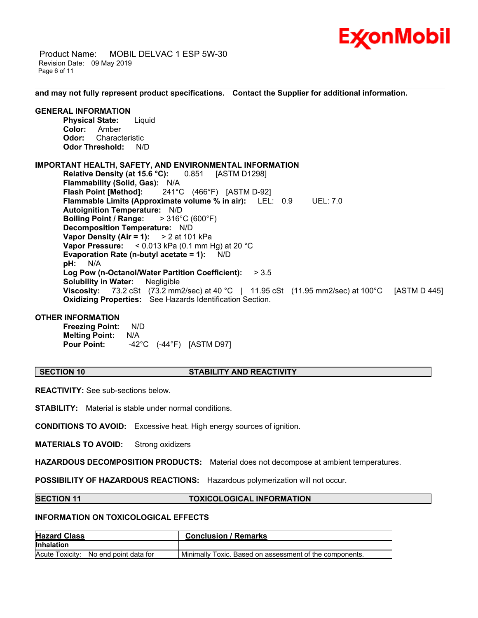

 Product Name: MOBIL DELVAC 1 ESP 5W-30 Revision Date: 09 May 2019 Page 6 of 11

**and may not fully represent product specifications. Contact the Supplier for additional information.**

\_\_\_\_\_\_\_\_\_\_\_\_\_\_\_\_\_\_\_\_\_\_\_\_\_\_\_\_\_\_\_\_\_\_\_\_\_\_\_\_\_\_\_\_\_\_\_\_\_\_\_\_\_\_\_\_\_\_\_\_\_\_\_\_\_\_\_\_\_\_\_\_\_\_\_\_\_\_\_\_\_\_\_\_\_\_\_\_\_\_\_\_\_\_\_\_\_\_\_\_\_\_\_\_\_\_\_\_\_\_\_\_\_\_\_\_\_\_

### **GENERAL INFORMATION**

**Physical State:** Liquid **Color:** Amber **Odor:** Characteristic **Odor Threshold:** N/D

### **IMPORTANT HEALTH, SAFETY, AND ENVIRONMENTAL INFORMATION**

**Relative Density (at 15.6 °C):** 0.851 [ASTM D1298] **Flammability (Solid, Gas):** N/A **Flash Point [Method]:** 241°C (466°F) [ASTM D-92] **Flammable Limits (Approximate volume % in air):** LEL: 0.9 UEL: 7.0 **Autoignition Temperature:** N/D **Boiling Point / Range:** > 316°C (600°F) **Decomposition Temperature:** N/D **Vapor Density (Air = 1):** > 2 at 101 kPa **Vapor Pressure:** < 0.013 kPa (0.1 mm Hg) at 20 °C **Evaporation Rate (n-butyl acetate = 1):** N/D **pH:** N/A **Log Pow (n-Octanol/Water Partition Coefficient):** > 3.5 **Solubility in Water:** Negligible **Viscosity:** 73.2 cSt (73.2 mm2/sec) at 40 °C | 11.95 cSt (11.95 mm2/sec) at 100°C [ASTM D 445] **Oxidizing Properties:** See Hazards Identification Section.

# **OTHER INFORMATION**

**Freezing Point:** N/D **Melting Point:** N/A **Pour Point:** -42°C (-44°F) [ASTM D97]

#### **SECTION 10 STABILITY AND REACTIVITY**

**REACTIVITY:** See sub-sections below.

**STABILITY:** Material is stable under normal conditions.

**CONDITIONS TO AVOID:** Excessive heat. High energy sources of ignition.

**MATERIALS TO AVOID:** Strong oxidizers

**HAZARDOUS DECOMPOSITION PRODUCTS:** Material does not decompose at ambient temperatures.

**POSSIBILITY OF HAZARDOUS REACTIONS:** Hazardous polymerization will not occur.

#### **SECTION 11 TOXICOLOGICAL INFORMATION**

# **INFORMATION ON TOXICOLOGICAL EFFECTS**

| <b>Hazard Class</b>                   | <b>Conclusion / Remarks</b>                             |  |  |
|---------------------------------------|---------------------------------------------------------|--|--|
| <b>Inhalation</b>                     |                                                         |  |  |
| Acute Toxicity: No end point data for | Minimally Toxic. Based on assessment of the components. |  |  |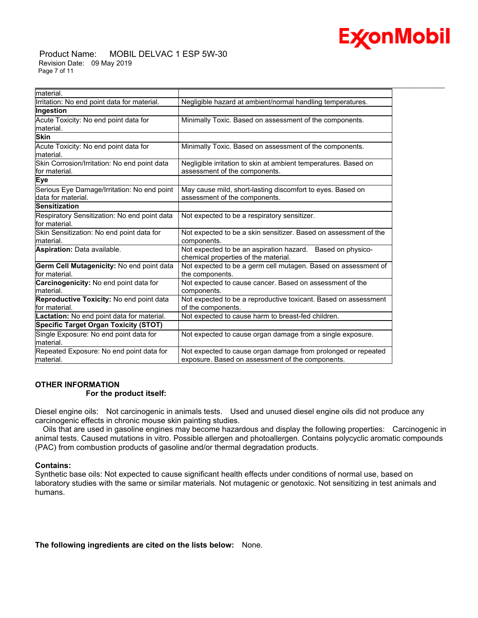

 Product Name: MOBIL DELVAC 1 ESP 5W-30 Revision Date: 09 May 2019 Page 7 of 11

| material.                                                         |                                                                                                                   |
|-------------------------------------------------------------------|-------------------------------------------------------------------------------------------------------------------|
| Irritation: No end point data for material.                       | Negligible hazard at ambient/normal handling temperatures.                                                        |
| Ingestion                                                         |                                                                                                                   |
| Acute Toxicity: No end point data for<br>material.                | Minimally Toxic. Based on assessment of the components.                                                           |
| <b>Skin</b>                                                       |                                                                                                                   |
| Acute Toxicity: No end point data for<br>material.                | Minimally Toxic. Based on assessment of the components.                                                           |
| Skin Corrosion/Irritation: No end point data<br>lfor material.    | Negligible irritation to skin at ambient temperatures. Based on<br>assessment of the components.                  |
| <b>Eye</b>                                                        |                                                                                                                   |
| Serious Eye Damage/Irritation: No end point<br>data for material. | May cause mild, short-lasting discomfort to eyes. Based on<br>assessment of the components.                       |
| Sensitization                                                     |                                                                                                                   |
| Respiratory Sensitization: No end point data<br>lfor material.    | Not expected to be a respiratory sensitizer.                                                                      |
| Skin Sensitization: No end point data for<br>material.            | Not expected to be a skin sensitizer. Based on assessment of the<br>components.                                   |
| Aspiration: Data available.                                       | Not expected to be an aspiration hazard. Based on physico-<br>chemical properties of the material.                |
| Germ Cell Mutagenicity: No end point data<br>for material.        | Not expected to be a germ cell mutagen. Based on assessment of<br>the components.                                 |
| Carcinogenicity: No end point data for<br>material.               | Not expected to cause cancer. Based on assessment of the<br>components.                                           |
| Reproductive Toxicity: No end point data<br>for material.         | Not expected to be a reproductive toxicant. Based on assessment<br>of the components.                             |
| Lactation: No end point data for material.                        | Not expected to cause harm to breast-fed children.                                                                |
| <b>Specific Target Organ Toxicity (STOT)</b>                      |                                                                                                                   |
| Single Exposure: No end point data for<br>material.               | Not expected to cause organ damage from a single exposure.                                                        |
| Repeated Exposure: No end point data for<br>material.             | Not expected to cause organ damage from prolonged or repeated<br>exposure. Based on assessment of the components. |

\_\_\_\_\_\_\_\_\_\_\_\_\_\_\_\_\_\_\_\_\_\_\_\_\_\_\_\_\_\_\_\_\_\_\_\_\_\_\_\_\_\_\_\_\_\_\_\_\_\_\_\_\_\_\_\_\_\_\_\_\_\_\_\_\_\_\_\_\_\_\_\_\_\_\_\_\_\_\_\_\_\_\_\_\_\_\_\_\_\_\_\_\_\_\_\_\_\_\_\_\_\_\_\_\_\_\_\_\_\_\_\_\_\_\_\_\_\_

# **OTHER INFORMATION For the product itself:**

Diesel engine oils: Not carcinogenic in animals tests. Used and unused diesel engine oils did not produce any carcinogenic effects in chronic mouse skin painting studies.

 Oils that are used in gasoline engines may become hazardous and display the following properties: Carcinogenic in animal tests. Caused mutations in vitro. Possible allergen and photoallergen. Contains polycyclic aromatic compounds (PAC) from combustion products of gasoline and/or thermal degradation products.

# **Contains:**

Synthetic base oils: Not expected to cause significant health effects under conditions of normal use, based on laboratory studies with the same or similar materials. Not mutagenic or genotoxic. Not sensitizing in test animals and humans.

**The following ingredients are cited on the lists below:** None.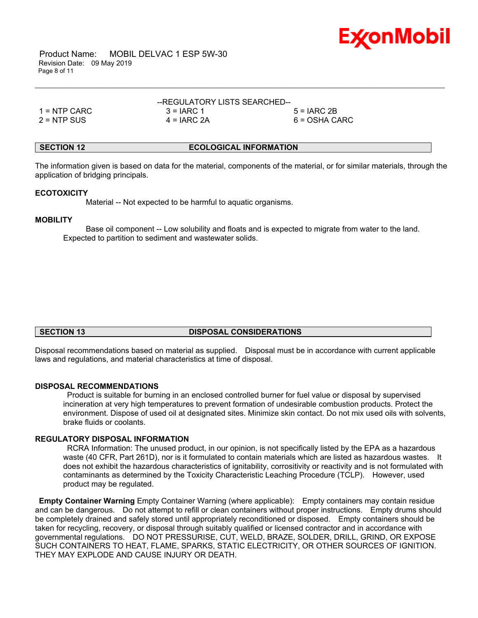

 Product Name: MOBIL DELVAC 1 ESP 5W-30 Revision Date: 09 May 2019 Page 8 of 11

|               | --REGULATORY LISTS SEARCHED-- |                 |
|---------------|-------------------------------|-----------------|
| 1 = NTP CARC  | $3 = IARC 1$                  | $5 = IARC 2B$   |
| $2 =$ NTP SUS | $4 = IARC 2A$                 | $6 = OSHA CARC$ |

# **SECTION 12 ECOLOGICAL INFORMATION**

The information given is based on data for the material, components of the material, or for similar materials, through the application of bridging principals.

\_\_\_\_\_\_\_\_\_\_\_\_\_\_\_\_\_\_\_\_\_\_\_\_\_\_\_\_\_\_\_\_\_\_\_\_\_\_\_\_\_\_\_\_\_\_\_\_\_\_\_\_\_\_\_\_\_\_\_\_\_\_\_\_\_\_\_\_\_\_\_\_\_\_\_\_\_\_\_\_\_\_\_\_\_\_\_\_\_\_\_\_\_\_\_\_\_\_\_\_\_\_\_\_\_\_\_\_\_\_\_\_\_\_\_\_\_\_

#### **ECOTOXICITY**

Material -- Not expected to be harmful to aquatic organisms.

### **MOBILITY**

 Base oil component -- Low solubility and floats and is expected to migrate from water to the land. Expected to partition to sediment and wastewater solids.

# **SECTION 13 DISPOSAL CONSIDERATIONS**

Disposal recommendations based on material as supplied. Disposal must be in accordance with current applicable laws and regulations, and material characteristics at time of disposal.

#### **DISPOSAL RECOMMENDATIONS**

 Product is suitable for burning in an enclosed controlled burner for fuel value or disposal by supervised incineration at very high temperatures to prevent formation of undesirable combustion products. Protect the environment. Dispose of used oil at designated sites. Minimize skin contact. Do not mix used oils with solvents, brake fluids or coolants.

# **REGULATORY DISPOSAL INFORMATION**

 RCRA Information: The unused product, in our opinion, is not specifically listed by the EPA as a hazardous waste (40 CFR, Part 261D), nor is it formulated to contain materials which are listed as hazardous wastes. It does not exhibit the hazardous characteristics of ignitability, corrositivity or reactivity and is not formulated with contaminants as determined by the Toxicity Characteristic Leaching Procedure (TCLP). However, used product may be regulated.

**Empty Container Warning** Empty Container Warning (where applicable): Empty containers may contain residue and can be dangerous. Do not attempt to refill or clean containers without proper instructions. Empty drums should be completely drained and safely stored until appropriately reconditioned or disposed. Empty containers should be taken for recycling, recovery, or disposal through suitably qualified or licensed contractor and in accordance with governmental regulations. DO NOT PRESSURISE, CUT, WELD, BRAZE, SOLDER, DRILL, GRIND, OR EXPOSE SUCH CONTAINERS TO HEAT, FLAME, SPARKS, STATIC ELECTRICITY, OR OTHER SOURCES OF IGNITION. THEY MAY EXPLODE AND CAUSE INJURY OR DEATH.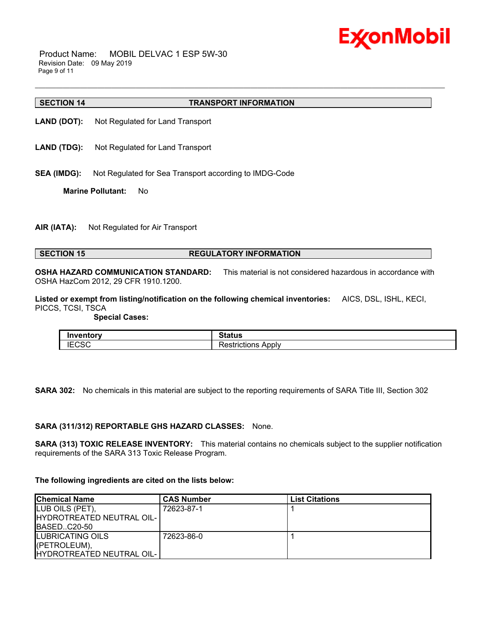

 Product Name: MOBIL DELVAC 1 ESP 5W-30 Revision Date: 09 May 2019 Page 9 of 11

#### **SECTION 14 TRANSPORT INFORMATION**

- **LAND (DOT):** Not Regulated for Land Transport
- LAND (TDG): Not Regulated for Land Transport
- **SEA (IMDG):** Not Regulated for Sea Transport according to IMDG-Code

**Marine Pollutant:** No

**AIR (IATA):** Not Regulated for Air Transport

# **SECTION 15 REGULATORY INFORMATION**

**OSHA HAZARD COMMUNICATION STANDARD:** This material is not considered hazardous in accordance with OSHA HazCom 2012, 29 CFR 1910.1200.

\_\_\_\_\_\_\_\_\_\_\_\_\_\_\_\_\_\_\_\_\_\_\_\_\_\_\_\_\_\_\_\_\_\_\_\_\_\_\_\_\_\_\_\_\_\_\_\_\_\_\_\_\_\_\_\_\_\_\_\_\_\_\_\_\_\_\_\_\_\_\_\_\_\_\_\_\_\_\_\_\_\_\_\_\_\_\_\_\_\_\_\_\_\_\_\_\_\_\_\_\_\_\_\_\_\_\_\_\_\_\_\_\_\_\_\_\_\_

**Listed or exempt from listing/notification on the following chemical inventories:** AICS, DSL, ISHL, KECI, PICCS, TCSI, TSCA

 **Special Cases:**

| .                            | $\sim$<br>Status                        |
|------------------------------|-----------------------------------------|
| $1 - 0 - 0$<br>IEUJU<br>____ | .<br>Apply<br>----------<br>estrictions |

**SARA 302:** No chemicals in this material are subject to the reporting requirements of SARA Title III, Section 302

#### **SARA (311/312) REPORTABLE GHS HAZARD CLASSES:** None.

**SARA (313) TOXIC RELEASE INVENTORY:** This material contains no chemicals subject to the supplier notification requirements of the SARA 313 Toxic Release Program.

#### **The following ingredients are cited on the lists below:**

| <b>Chemical Name</b>      | <b>CAS Number</b> | <b>List Citations</b> |
|---------------------------|-------------------|-----------------------|
| LUB OILS (PET),           | 72623-87-1        |                       |
| HYDROTREATED NEUTRAL OIL- |                   |                       |
| BASEDC20-50               |                   |                       |
| LUBRICATING OILS          | . 72623-86-0      |                       |
| (PETROLEUM),              |                   |                       |
| HYDROTREATED NEUTRAL OIL- |                   |                       |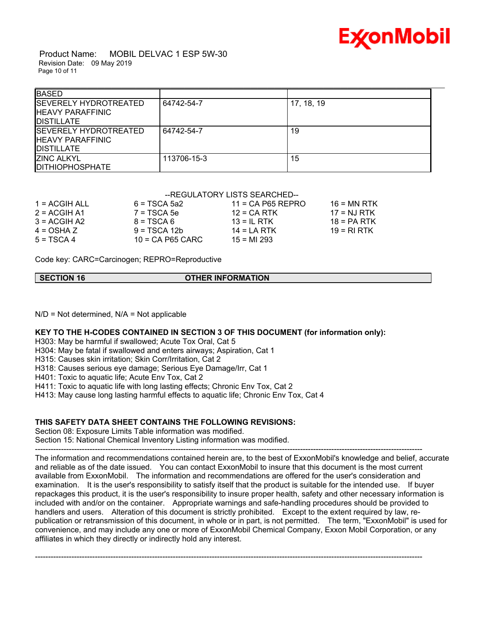

 Product Name: MOBIL DELVAC 1 ESP 5W-30 Revision Date: 09 May 2019 Page 10 of 11

| <b>BASED</b>                                                                 |             |            |  |
|------------------------------------------------------------------------------|-------------|------------|--|
| <b>SEVERELY HYDROTREATED</b><br><b>HEAVY PARAFFINIC</b><br><b>DISTILLATE</b> | 64742-54-7  | 17, 18, 19 |  |
| <b>SEVERELY HYDROTREATED</b><br><b>HEAVY PARAFFINIC</b><br><b>DISTILLATE</b> | 64742-54-7  | 19         |  |
| <b>ZINC ALKYL</b><br><b>DITHIOPHOSPHATE</b>                                  | 113706-15-3 | 15         |  |

# --REGULATORY LISTS SEARCHED--

| $1 = ACGIH ALL$ | $6 = TSCA$ 5a2     | $11 = CA$ P65 REPRO | 16 = MN RTK   |
|-----------------|--------------------|---------------------|---------------|
| $2 = ACGIH A1$  | $7 = TSCA5e$       | $12$ = CA RTK       | 17 = NJ RTK   |
| $3 = ACGIH A2$  | $8 = TSCA6$        | $13 = IL$ RTK       | $18 = PA RTK$ |
| $4 = OSHA Z$    | $9 = TSCA 12b$     | $14 = I A RTK$      | 19 = RI RTK   |
| $5 = TSCA4$     | $10 = CA$ P65 CARC | $15 = M1 293$       |               |

Code key: CARC=Carcinogen; REPRO=Reproductive

**SECTION 16 OTHER INFORMATION**

 $N/D$  = Not determined,  $N/A$  = Not applicable

# **KEY TO THE H-CODES CONTAINED IN SECTION 3 OF THIS DOCUMENT (for information only):**

H303: May be harmful if swallowed; Acute Tox Oral, Cat 5

H304: May be fatal if swallowed and enters airways; Aspiration, Cat 1

H315: Causes skin irritation; Skin Corr/Irritation, Cat 2

H318: Causes serious eye damage; Serious Eye Damage/Irr, Cat 1

H401: Toxic to aquatic life; Acute Env Tox, Cat 2

H411: Toxic to aquatic life with long lasting effects; Chronic Env Tox, Cat 2

H413: May cause long lasting harmful effects to aquatic life; Chronic Env Tox, Cat 4

# **THIS SAFETY DATA SHEET CONTAINS THE FOLLOWING REVISIONS:**

Section 08: Exposure Limits Table information was modified. Section 15: National Chemical Inventory Listing information was modified.

----------------------------------------------------------------------------------------------------------------------------------------------------- The information and recommendations contained herein are, to the best of ExxonMobil's knowledge and belief, accurate and reliable as of the date issued. You can contact ExxonMobil to insure that this document is the most current available from ExxonMobil. The information and recommendations are offered for the user's consideration and examination. It is the user's responsibility to satisfy itself that the product is suitable for the intended use. If buyer repackages this product, it is the user's responsibility to insure proper health, safety and other necessary information is included with and/or on the container. Appropriate warnings and safe-handling procedures should be provided to handlers and users. Alteration of this document is strictly prohibited. Except to the extent required by law, republication or retransmission of this document, in whole or in part, is not permitted. The term, "ExxonMobil" is used for convenience, and may include any one or more of ExxonMobil Chemical Company, Exxon Mobil Corporation, or any affiliates in which they directly or indirectly hold any interest.

-----------------------------------------------------------------------------------------------------------------------------------------------------